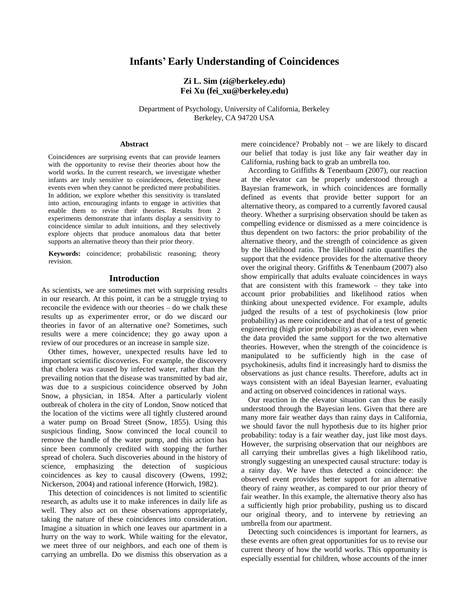# **Infants' Early Understanding of Coincidences**

## **Zi L. Sim (zi@berkeley.edu) Fei Xu (fei\_xu@berkeley.edu)**

Department of Psychology, University of California, Berkeley Berkeley, CA 94720 USA

#### **Abstract**

Coincidences are surprising events that can provide learners with the opportunity to revise their theories about how the world works. In the current research, we investigate whether infants are truly sensitive to coincidences, detecting these events even when they cannot be predicted mere probabilities. In addition, we explore whether this sensitivity is translated into action, encouraging infants to engage in activities that enable them to revise their theories. Results from 2 experiments demonstrate that infants display a sensitivity to coincidence similar to adult intuitions, and they selectively explore objects that produce anomalous data that better supports an alternative theory than their prior theory.

**Keywords:** coincidence; probabilistic reasoning; theory revision.

### **Introduction**

As scientists, we are sometimes met with surprising results in our research. At this point, it can be a struggle trying to reconcile the evidence with our theories – do we chalk these results up as experimenter error, or do we discard our theories in favor of an alternative one? Sometimes, such results were a mere coincidence; they go away upon a review of our procedures or an increase in sample size.

Other times, however, unexpected results have led to important scientific discoveries. For example, the discovery that cholera was caused by infected water, rather than the prevailing notion that the disease was transmitted by bad air, was due to a suspicious coincidence observed by John Snow, a physician, in 1854. After a particularly violent outbreak of cholera in the city of London, Snow noticed that the location of the victims were all tightly clustered around a water pump on Broad Street (Snow, 1855). Using this suspicious finding, Snow convinced the local council to remove the handle of the water pump, and this action has since been commonly credited with stopping the further spread of cholera. Such discoveries abound in the history of science, emphasizing the detection of suspicious coincidences as key to causal discovery (Owens, 1992; Nickerson, 2004) and rational inference (Horwich, 1982).

This detection of coincidences is not limited to scientific research, as adults use it to make inferences in daily life as well. They also act on these observations appropriately, taking the nature of these coincidences into consideration. Imagine a situation in which one leaves our apartment in a hurry on the way to work. While waiting for the elevator, we meet three of our neighbors, and each one of them is carrying an umbrella. Do we dismiss this observation as a mere coincidence? Probably not – we are likely to discard our belief that today is just like any fair weather day in California, rushing back to grab an umbrella too.

According to Griffiths & Tenenbaum (2007), our reaction at the elevator can be properly understood through a Bayesian framework, in which coincidences are formally defined as events that provide better support for an alternative theory, as compared to a currently favored causal theory. Whether a surprising observation should be taken as compelling evidence or dismissed as a mere coincidence is thus dependent on two factors: the prior probability of the alternative theory, and the strength of coincidence as given by the likelihood ratio. The likelihood ratio quantifies the support that the evidence provides for the alternative theory over the original theory. Griffiths & Tenenbaum (2007) also show empirically that adults evaluate coincidences in ways that are consistent with this framework – they take into account prior probabilities and likelihood ratios when thinking about unexpected evidence. For example, adults judged the results of a test of psychokinesis (low prior probability) as mere coincidence and that of a test of genetic engineering (high prior probability) as evidence, even when the data provided the same support for the two alternative theories. However, when the strength of the coincidence is manipulated to be sufficiently high in the case of psychokinesis, adults find it increasingly hard to dismiss the observations as just chance results. Therefore, adults act in ways consistent with an ideal Bayesian learner, evaluating and acting on observed coincidences in rational ways.

Our reaction in the elevator situation can thus be easily understood through the Bayesian lens. Given that there are many more fair weather days than rainy days in California, we should favor the null hypothesis due to its higher prior probability: today is a fair weather day, just like most days. However, the surprising observation that our neighbors are all carrying their umbrellas gives a high likelihood ratio, strongly suggesting an unexpected causal structure: today is a rainy day. We have thus detected a coincidence: the observed event provides better support for an alternative theory of rainy weather, as compared to our prior theory of fair weather. In this example, the alternative theory also has a sufficiently high prior probability, pushing us to discard our original theory, and to intervene by retrieving an umbrella from our apartment.

Detecting such coincidences is important for learners, as these events are often great opportunities for us to revise our current theory of how the world works. This opportunity is especially essential for children, whose accounts of the inner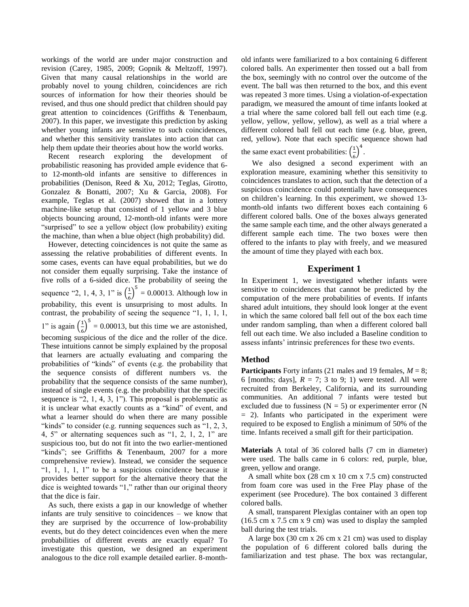workings of the world are under major construction and revision (Carey, 1985, 2009; Gopnik & Meltzoff, 1997). Given that many causal relationships in the world are probably novel to young children, coincidences are rich sources of information for how their theories should be revised, and thus one should predict that children should pay great attention to coincidences (Griffiths & Tenenbaum, 2007). In this paper, we investigate this prediction by asking whether young infants are sensitive to such coincidences, and whether this sensitivity translates into action that can help them update their theories about how the world works.

Recent research exploring the development of probabilistic reasoning has provided ample evidence that 6 to 12-month-old infants are sensitive to differences in probabilities (Denison, Reed & Xu, 2012; Teglas, Girotto, Gonzalez & Bonatti, 2007; Xu & Garcia, 2008). For example, Teglas et al. (2007) showed that in a lottery machine-like setup that consisted of 1 yellow and 3 blue objects bouncing around, 12-month-old infants were more "surprised" to see a yellow object (low probability) exiting the machine, than when a blue object (high probability) did.

However, detecting coincidences is not quite the same as assessing the relative probabilities of different events. In some cases, events can have equal probabilities, but we do not consider them equally surprising. Take the instance of five rolls of a 6-sided dice. The probability of seeing the sequence "2, 1, 4, 3, 1" is  $\left(\frac{1}{6}\right)$  $\left(\frac{1}{6}\right)^5$  = 0.00013. Although low in probability, this event is unsurprising to most adults. In contrast, the probability of seeing the sequence "1, 1, 1, 1, 1" is again  $\left(\frac{1}{2}\right)$  $\frac{1}{6}$  $\int_0^5$  = 0.00013, but this time we are astonished, becoming suspicious of the dice and the roller of the dice. These intuitions cannot be simply explained by the proposal that learners are actually evaluating and comparing the probabilities of "kinds" of events (e.g. the probability that the sequence consists of different numbers vs. the probability that the sequence consists of the same number), instead of single events (e.g. the probability that the specific sequence is "2, 1, 4, 3, 1"). This proposal is problematic as it is unclear what exactly counts as a "kind" of event, and what a learner should do when there are many possible "kinds" to consider (e.g. running sequences such as "1, 2, 3, 4, 5" or alternating sequences such as "1, 2, 1, 2, 1" are suspicious too, but do not fit into the two earlier-mentioned "kinds"; see Griffiths & Tenenbaum, 2007 for a more comprehensive review). Instead, we consider the sequence " $1, 1, 1, 1$ " to be a suspicious coincidence because it provides better support for the alternative theory that the dice is weighted towards "1," rather than our original theory that the dice is fair.

As such, there exists a gap in our knowledge of whether infants are truly sensitive to coincidences – we know that they are surprised by the occurrence of low-probability events, but do they detect coincidences even when the mere probabilities of different events are exactly equal? To investigate this question, we designed an experiment analogous to the dice roll example detailed earlier. 8-monthold infants were familiarized to a box containing 6 different colored balls. An experimenter then tossed out a ball from the box, seemingly with no control over the outcome of the event. The ball was then returned to the box, and this event was repeated 3 more times. Using a violation-of-expectation paradigm, we measured the amount of time infants looked at a trial where the same colored ball fell out each time (e.g. yellow, yellow, yellow, yellow), as well as a trial where a different colored ball fell out each time (e.g. blue, green, red, yellow). Note that each specific sequence shown had

the same exact event probabilities:  $\left(\frac{1}{2}\right)$  $\frac{1}{6}$  )<sup>4</sup>.

 We also designed a second experiment with an exploration measure, examining whether this sensitivity to coincidences translates to action, such that the detection of a suspicious coincidence could potentially have consequences on children's learning. In this experiment, we showed 13 month-old infants two different boxes each containing 6 different colored balls. One of the boxes always generated the same sample each time, and the other always generated a different sample each time. The two boxes were then offered to the infants to play with freely, and we measured the amount of time they played with each box.

## **Experiment 1**

In Experiment 1, we investigated whether infants were sensitive to coincidences that cannot be predicted by the computation of the mere probabilities of events. If infants shared adult intuitions, they should look longer at the event in which the same colored ball fell out of the box each time under random sampling, than when a different colored ball fell out each time. We also included a Baseline condition to assess infants' intrinsic preferences for these two events.

## **Method**

**Participants** Forty infants (21 males and 19 females,  $M = 8$ ; 6 [months; days],  $R = 7$ ; 3 to 9; 1) were tested. All were recruited from Berkeley, California, and its surrounding communities. An additional 7 infants were tested but excluded due to fussiness ( $N = 5$ ) or experimenter error (N  $= 2$ ). Infants who participated in the experiment were required to be exposed to English a minimum of 50% of the time. Infants received a small gift for their participation.

**Materials** A total of 36 colored balls (7 cm in diameter) were used. The balls came in 6 colors: red, purple, blue, green, yellow and orange.

A small white box (28 cm x 10 cm x 7.5 cm) constructed from foam core was used in the Free Play phase of the experiment (see Procedure). The box contained 3 different colored balls.

A small, transparent Plexiglas container with an open top (16.5 cm x 7.5 cm x 9 cm) was used to display the sampled ball during the test trials.

A large box (30 cm x 26 cm x 21 cm) was used to display the population of 6 different colored balls during the familiarization and test phase. The box was rectangular,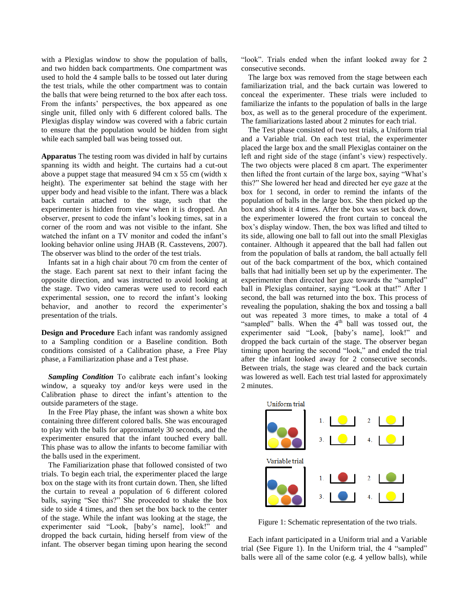with a Plexiglas window to show the population of balls, and two hidden back compartments. One compartment was used to hold the 4 sample balls to be tossed out later during the test trials, while the other compartment was to contain the balls that were being returned to the box after each toss. From the infants' perspectives, the box appeared as one single unit, filled only with 6 different colored balls. The Plexiglas display window was covered with a fabric curtain to ensure that the population would be hidden from sight while each sampled ball was being tossed out.

**Apparatus** The testing room was divided in half by curtains spanning its width and height. The curtains had a cut-out above a puppet stage that measured 94 cm x 55 cm (width x height). The experimenter sat behind the stage with her upper body and head visible to the infant. There was a black back curtain attached to the stage, such that the experimenter is hidden from view when it is dropped. An observer, present to code the infant's looking times, sat in a corner of the room and was not visible to the infant. She watched the infant on a TV monitor and coded the infant's looking behavior online using JHAB (R. Casstevens, 2007). The observer was blind to the order of the test trials.

Infants sat in a high chair about 70 cm from the center of the stage. Each parent sat next to their infant facing the opposite direction, and was instructed to avoid looking at the stage. Two video cameras were used to record each experimental session, one to record the infant's looking behavior, and another to record the experimenter's presentation of the trials.

**Design and Procedure** Each infant was randomly assigned to a Sampling condition or a Baseline condition. Both conditions consisted of a Calibration phase, a Free Play phase, a Familiarization phase and a Test phase.

*Sampling Condition* To calibrate each infant's looking window, a squeaky toy and/or keys were used in the Calibration phase to direct the infant's attention to the outside parameters of the stage.

In the Free Play phase, the infant was shown a white box containing three different colored balls. She was encouraged to play with the balls for approximately 30 seconds, and the experimenter ensured that the infant touched every ball. This phase was to allow the infants to become familiar with the balls used in the experiment.

The Familiarization phase that followed consisted of two trials. To begin each trial, the experimenter placed the large box on the stage with its front curtain down. Then, she lifted the curtain to reveal a population of 6 different colored balls, saying "See this?" She proceeded to shake the box side to side 4 times, and then set the box back to the center of the stage. While the infant was looking at the stage, the experimenter said "Look, [baby's name], look!" and dropped the back curtain, hiding herself from view of the infant. The observer began timing upon hearing the second

"look". Trials ended when the infant looked away for 2 consecutive seconds.

The large box was removed from the stage between each familiarization trial, and the back curtain was lowered to conceal the experimenter. These trials were included to familiarize the infants to the population of balls in the large box, as well as to the general procedure of the experiment. The familiarizations lasted about 2 minutes for each trial.

The Test phase consisted of two test trials, a Uniform trial and a Variable trial. On each test trial, the experimenter placed the large box and the small Plexiglas container on the left and right side of the stage (infant's view) respectively. The two objects were placed 8 cm apart. The experimenter then lifted the front curtain of the large box, saying "What's this?" She lowered her head and directed her eye gaze at the box for 1 second, in order to remind the infants of the population of balls in the large box. She then picked up the box and shook it 4 times. After the box was set back down, the experimenter lowered the front curtain to conceal the box's display window. Then, the box was lifted and tilted to its side, allowing one ball to fall out into the small Plexiglas container. Although it appeared that the ball had fallen out from the population of balls at random, the ball actually fell out of the back compartment of the box, which contained balls that had initially been set up by the experimenter. The experimenter then directed her gaze towards the "sampled" ball in Plexiglas container, saying "Look at that!" After 1 second, the ball was returned into the box. This process of revealing the population, shaking the box and tossing a ball out was repeated 3 more times, to make a total of 4 "sampled" balls. When the  $4<sup>th</sup>$  ball was tossed out, the experimenter said "Look, [baby's name], look!" and dropped the back curtain of the stage. The observer began timing upon hearing the second "look," and ended the trial after the infant looked away for 2 consecutive seconds. Between trials, the stage was cleared and the back curtain was lowered as well. Each test trial lasted for approximately 2 minutes.



Figure 1: Schematic representation of the two trials.

Each infant participated in a Uniform trial and a Variable trial (See Figure 1). In the Uniform trial, the 4 "sampled" balls were all of the same color (e.g. 4 yellow balls), while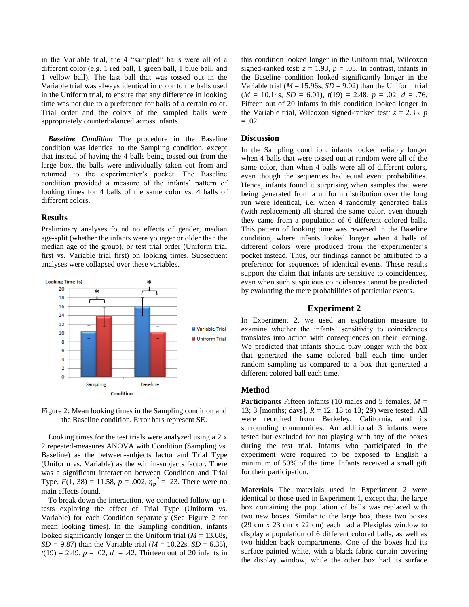in the Variable trial, the 4 "sampled" balls were all of a different color (e.g. 1 red ball, 1 green ball, 1 blue ball, and 1 yellow ball). The last ball that was tossed out in the Variable trial was always identical in color to the balls used in the Uniform trial, to ensure that any difference in looking time was not due to a preference for balls of a certain color. Trial order and the colors of the sampled balls were appropriately counterbalanced across infants.

*Baseline Condition* The procedure in the Baseline condition was identical to the Sampling condition, except that instead of having the 4 balls being tossed out from the large box, the balls were individually taken out from and returned to the experimenter's pocket. The Baseline condition provided a measure of the infants' pattern of looking times for 4 balls of the same color vs. 4 balls of different colors.

#### **Results**

Preliminary analyses found no effects of gender, median age-split (whether the infants were younger or older than the median age of the group), or test trial order (Uniform trial first vs. Variable trial first) on looking times. Subsequent analyses were collapsed over these variables.





Looking times for the test trials were analyzed using a 2 x 2 repeated-measures ANOVA with Condition (Sampling vs. Baseline) as the between-subjects factor and Trial Type (Uniform vs. Variable) as the within-subjects factor. There was a significant interaction between Condition and Trial Type,  $F(1, 38) = 11.58$ ,  $p = .002$ ,  $\eta_p^2 = .23$ . There were no main effects found.

To break down the interaction, we conducted follow-up ttests exploring the effect of Trial Type (Uniform vs. Variable) for each Condition separately (See Figure 2 for mean looking times). In the Sampling condition, infants looked significantly longer in the Uniform trial (*M* = 13.68s, *SD* = 9.87) than the Variable trial ( $M = 10.22$ s, *SD* = 6.35),  $t(19) = 2.49, p = .02, d = .42$ . Thirteen out of 20 infants in this condition looked longer in the Uniform trial, Wilcoxon signed-ranked test:  $z = 1.93$ ,  $p = .05$ . In contrast, infants in the Baseline condition looked significantly longer in the Variable trial ( $M = 15.96s$ ,  $SD = 9.02$ ) than the Uniform trial  $(M = 10.14$ s,  $SD = 6.01$ ,  $t(19) = 2.48$ ,  $p = .02$ ,  $d = .76$ . Fifteen out of 20 infants in this condition looked longer in the Variable trial, Wilcoxon signed-ranked test:  $z = 2.35$ , *p*  $= .02.$ 

### **Discussion**

In the Sampling condition, infants looked reliably longer when 4 balls that were tossed out at random were all of the same color, than when 4 balls were all of different colors, even though the sequences had equal event probabilities. Hence, infants found it surprising when samples that were being generated from a uniform distribution over the long run were identical, i.e. when 4 randomly generated balls (with replacement) all shared the same color, even though they came from a population of 6 different colored balls. This pattern of looking time was reversed in the Baseline condition, where infants looked longer when 4 balls of different colors were produced from the experimenter's pocket instead. Thus, our findings cannot be attributed to a preference for sequences of identical events. These results support the claim that infants are sensitive to coincidences, even when such suspicious coincidences cannot be predicted by evaluating the mere probabilities of particular events.

### **Experiment 2**

In Experiment 2, we used an exploration measure to examine whether the infants' sensitivity to coincidences translates into action with consequences on their learning. We predicted that infants should play longer with the box that generated the same colored ball each time under random sampling as compared to a box that generated a different colored ball each time.

#### **Method**

**Participants** Fifteen infants (10 males and 5 females, *M* = 13; 3 [months; days], *R* = 12; 18 to 13; 29) were tested. All were recruited from Berkeley, California, and its surrounding communities. An additional 3 infants were tested but excluded for not playing with any of the boxes during the test trial. Infants who participated in the experiment were required to be exposed to English a minimum of 50% of the time. Infants received a small gift for their participation.

**Materials** The materials used in Experiment 2 were identical to those used in Experiment 1, except that the large box containing the population of balls was replaced with two new boxes. Similar to the large box, these two boxes (29 cm x 23 cm x 22 cm) each had a Plexiglas window to display a population of 6 different colored balls, as well as two hidden back compartments. One of the boxes had its surface painted white, with a black fabric curtain covering the display window, while the other box had its surface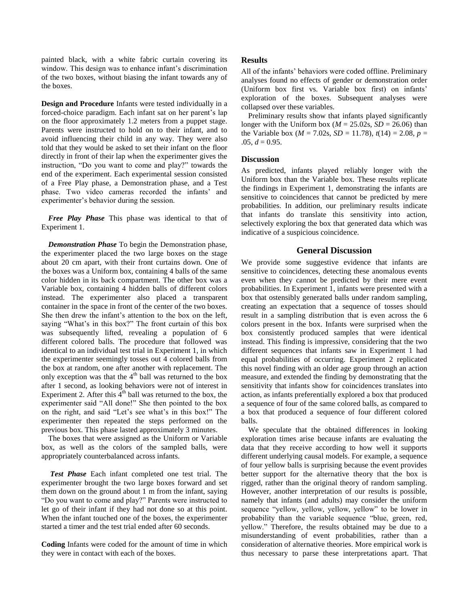painted black, with a white fabric curtain covering its window. This design was to enhance infant's discrimination of the two boxes, without biasing the infant towards any of the boxes.

**Design and Procedure** Infants were tested individually in a forced-choice paradigm. Each infant sat on her parent's lap on the floor approximately 1.2 meters from a puppet stage. Parents were instructed to hold on to their infant, and to avoid influencing their child in any way. They were also told that they would be asked to set their infant on the floor directly in front of their lap when the experimenter gives the instruction, "Do you want to come and play?" towards the end of the experiment. Each experimental session consisted of a Free Play phase, a Demonstration phase, and a Test phase. Two video cameras recorded the infants' and experimenter's behavior during the session.

*Free Play Phase* This phase was identical to that of Experiment 1.

*Demonstration Phase* To begin the Demonstration phase, the experimenter placed the two large boxes on the stage about 20 cm apart, with their front curtains down. One of the boxes was a Uniform box, containing 4 balls of the same color hidden in its back compartment. The other box was a Variable box, containing 4 hidden balls of different colors instead. The experimenter also placed a transparent container in the space in front of the center of the two boxes. She then drew the infant's attention to the box on the left, saying "What's in this box?" The front curtain of this box was subsequently lifted, revealing a population of 6 different colored balls. The procedure that followed was identical to an individual test trial in Experiment 1, in which the experimenter seemingly tosses out 4 colored balls from the box at random, one after another with replacement. The only exception was that the  $4<sup>th</sup>$  ball was returned to the box after 1 second, as looking behaviors were not of interest in Experiment 2. After this  $\overline{4}^{th}$  ball was returned to the box, the experimenter said "All done!" She then pointed to the box on the right, and said "Let's see what's in this box!" The experimenter then repeated the steps performed on the previous box. This phase lasted approximately 3 minutes.

The boxes that were assigned as the Uniform or Variable box, as well as the colors of the sampled balls, were appropriately counterbalanced across infants.

*Test Phase* Each infant completed one test trial. The experimenter brought the two large boxes forward and set them down on the ground about 1 m from the infant, saying "Do you want to come and play?" Parents were instructed to let go of their infant if they had not done so at this point. When the infant touched one of the boxes, the experimenter started a timer and the test trial ended after 60 seconds.

**Coding** Infants were coded for the amount of time in which they were in contact with each of the boxes.

#### **Results**

All of the infants' behaviors were coded offline. Preliminary analyses found no effects of gender or demonstration order (Uniform box first vs. Variable box first) on infants' exploration of the boxes. Subsequent analyses were collapsed over these variables.

Preliminary results show that infants played significantly longer with the Uniform box ( $M = 25.02$ s,  $SD = 26.06$ ) than the Variable box ( $M = 7.02$ s,  $SD = 11.78$ ),  $t(14) = 2.08$ ,  $p =$  $.05, d = 0.95.$ 

#### **Discussion**

As predicted, infants played reliably longer with the Uniform box than the Variable box. These results replicate the findings in Experiment 1, demonstrating the infants are sensitive to coincidences that cannot be predicted by mere probabilities. In addition, our preliminary results indicate that infants do translate this sensitivity into action, selectively exploring the box that generated data which was indicative of a suspicious coincidence.

## **General Discussion**

We provide some suggestive evidence that infants are sensitive to coincidences, detecting these anomalous events even when they cannot be predicted by their mere event probabilities. In Experiment 1, infants were presented with a box that ostensibly generated balls under random sampling, creating an expectation that a sequence of tosses should result in a sampling distribution that is even across the 6 colors present in the box. Infants were surprised when the box consistently produced samples that were identical instead. This finding is impressive, considering that the two different sequences that infants saw in Experiment 1 had equal probabilities of occurring. Experiment 2 replicated this novel finding with an older age group through an action measure, and extended the finding by demonstrating that the sensitivity that infants show for coincidences translates into action, as infants preferentially explored a box that produced a sequence of four of the same colored balls, as compared to a box that produced a sequence of four different colored balls.

We speculate that the obtained differences in looking exploration times arise because infants are evaluating the data that they receive according to how well it supports different underlying causal models. For example, a sequence of four yellow balls is surprising because the event provides better support for the alternative theory that the box is rigged, rather than the original theory of random sampling. However, another interpretation of our results is possible, namely that infants (and adults) may consider the uniform sequence "yellow, yellow, yellow, yellow" to be lower in probability than the variable sequence "blue, green, red, yellow." Therefore, the results obtained may be due to a misunderstanding of event probabilities, rather than a consideration of alternative theories. More empirical work is thus necessary to parse these interpretations apart. That